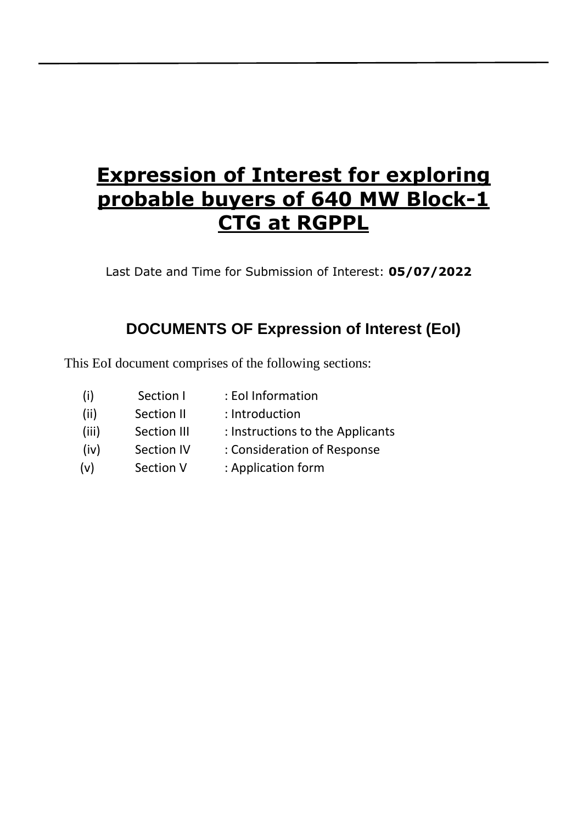# **Expression of Interest for exploring probable buyers of 640 MW Block-1 CTG at RGPPL**

Last Date and Time for Submission of Interest: **05/07/2022**

## **DOCUMENTS OF Expression of Interest (EoI)**

This EoI document comprises of the following sections:

(i) Section I : EoI Information (ii) Section II : Introduction (iii) Section III : Instructions to the Applicants (iv) (v) Section IV Section V : Consideration of Response : Application form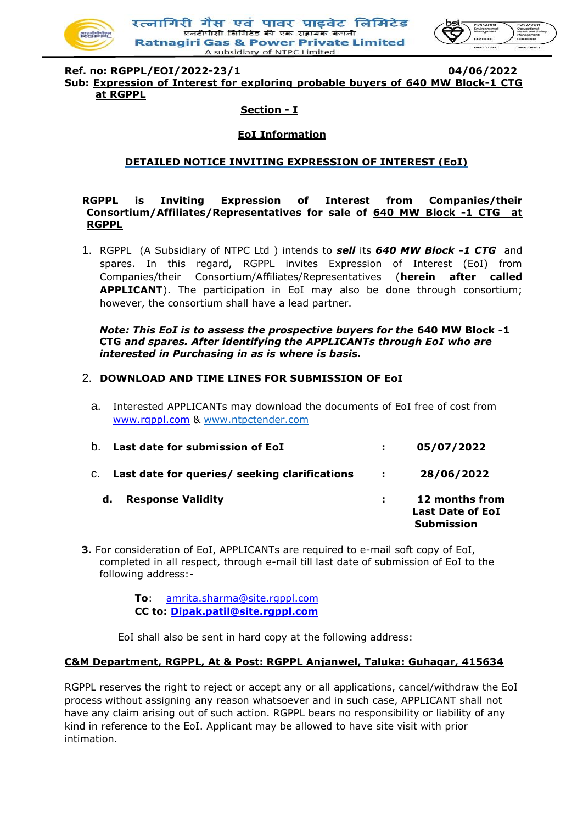

रत्नागिरी गैस एवं पावर प्राडवेट लिमिटेड एनटीपीसी लिमिटेड की एक सहायक कंपढ **Ratnagiri Gas & Power Private Limited** A subsidiary of NTPC Limited



**Ref. no: RGPPL/EOI/2022-23/1 04/06/2022 Sub: Expression of Interest for exploring probable buyers of 640 MW Block-1 CTG at RGPPL**

#### **Section - I**

#### **EoI Information**

#### **DETAILED NOTICE INVITING EXPRESSION OF INTEREST (EoI)**

#### **RGPPL is Inviting Expression of Interest from Companies/their Consortium/Affiliates/Representatives for sale of 640 MW Block -1 CTG at RGPPL**

1. RGPPL (A Subsidiary of NTPC Ltd ) intends to *sell* its *640 MW Block -1 CTG* and spares. In this regard, RGPPL invites Expression of Interest (EoI) from Companies/their Consortium/Affiliates/Representatives (**herein after called APPLICANT**). The participation in EoI may also be done through consortium; however, the consortium shall have a lead partner.

#### *Note: This EoI is to assess the prospective buyers for the* **640 MW Block -1 CTG** *and spares. After identifying the APPLICANTs through EoI who are interested in Purchasing in as is where is basis.*

#### 2. **DOWNLOAD AND TIME LINES FOR SUBMISSION OF EoI**

a. Interested APPLICANTs may download the documents of EoI free of cost from [www.rgppl.com](http://www.rgppl.com/) & www.ntpctender.com

| Last date for submission of EoI<br>$b_{\perp}$   |                         | 05/07/2022                                                     |
|--------------------------------------------------|-------------------------|----------------------------------------------------------------|
| C. Last date for queries/ seeking clarifications | <b>Carl Corporation</b> | 28/06/2022                                                     |
| <b>Response Validity</b><br>d.                   |                         | 12 months from<br><b>Last Date of EoI</b><br><b>Submission</b> |

**3.** For consideration of EoI, APPLICANTs are required to e-mail soft copy of EoI, completed in all respect, through e-mail till last date of submission of EoI to the following address:-

> **To**: [amrita.sharma@site.rgppl.com](mailto:amrita.sharma@site.rgppl.com) **CC to: [Dipak.patil@site.rgppl.com](mailto:Dipak.patil@site.rgppl.com)**

EoI shall also be sent in hard copy at the following address:

#### **C&M Department, RGPPL, At & Post: RGPPL Anjanwel, Taluka: Guhagar, 415634**

RGPPL reserves the right to reject or accept any or all applications, cancel/withdraw the EoI process without assigning any reason whatsoever and in such case, APPLICANT shall not have any claim arising out of such action. RGPPL bears no responsibility or liability of any kind in reference to the EoI. Applicant may be allowed to have site visit with prior intimation.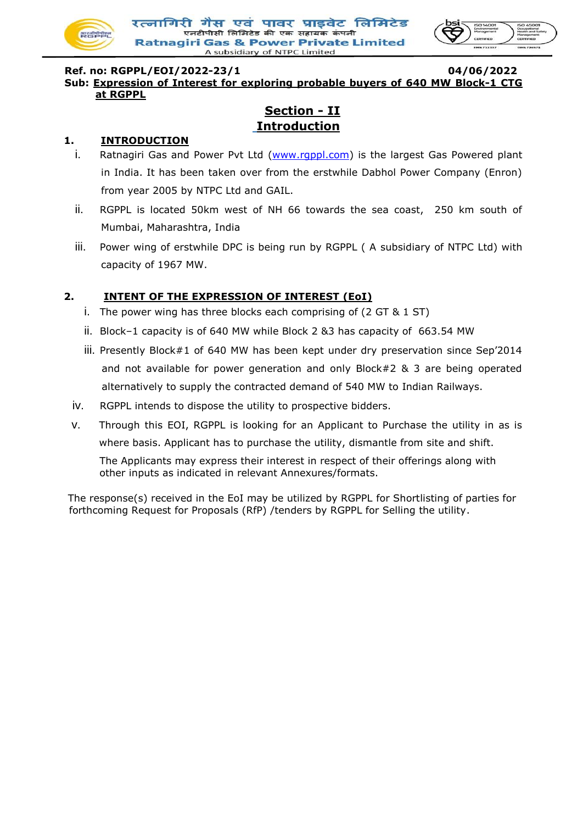



#### **Ref. no: RGPPL/EOI/2022-23/1 04/06/2022 Sub: Expression of Interest for exploring probable buyers of 640 MW Block-1 CTG at RGPPL**

## **Section - II Introduction**

#### **1. INTRODUCTION**

- i. Ratnagiri Gas and Power Pvt Ltd [\(www.rgppl.com\)](http://www.ntpc.co.i/) is the largest Gas Powered plant in India. It has been taken over from the erstwhile Dabhol Power Company (Enron) from year 2005 by NTPC Ltd and GAIL.
- ii. RGPPL is located 50km west of NH 66 towards the sea coast, 250 km south of Mumbai, Maharashtra, India
- iii. Power wing of erstwhile DPC is being run by RGPPL (A subsidiary of NTPC Ltd) with capacity of 1967 MW.

### **2. INTENT OF THE EXPRESSION OF INTEREST (EoI)**

- i. The power wing has three blocks each comprising of  $(2 GT & 1 ST)$
- ii. Block–1 capacity is of 640 MW while Block 2 &3 has capacity of 663.54 MW
- iii. Presently Block#1 of 640 MW has been kept under dry preservation since Sep'2014 and not available for power generation and only Block#2 & 3 are being operated alternatively to supply the contracted demand of 540 MW to Indian Railways.
- iv. RGPPL intends to dispose the utility to prospective bidders.
- v. Through this EOI, RGPPL is looking for an Applicant to Purchase the utility in as is where basis. Applicant has to purchase the utility, dismantle from site and shift.

The Applicants may express their interest in respect of their offerings along with other inputs as indicated in relevant Annexures/formats.

The response(s) received in the EoI may be utilized by RGPPL for Shortlisting of parties for forthcoming Request for Proposals (RfP) /tenders by RGPPL for Selling the utility.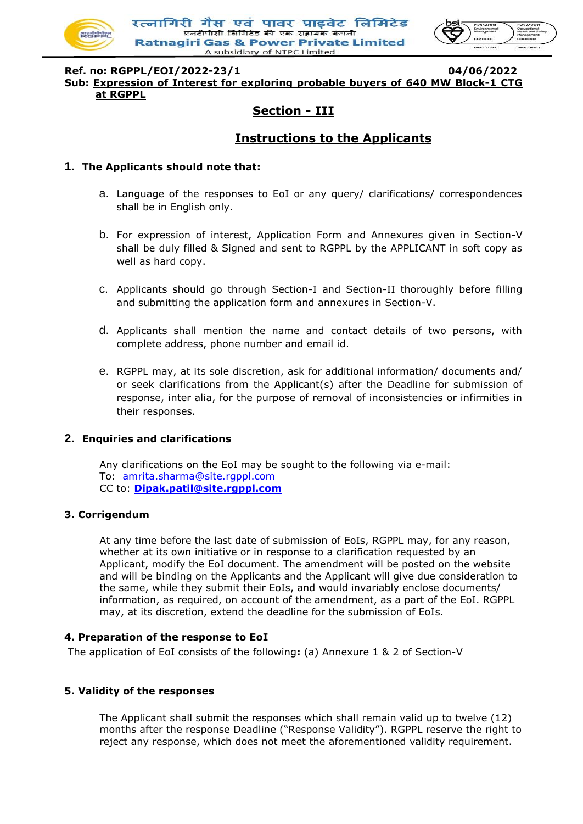

रत्नागिरी गैस एवं पावर प्राडवेट लिमिटेड .<br>एनटीपीसी लिमिटेड की एक सहायक कंपर **Ratnagiri Gas & Power Private Limited** A subsidiary of NTPC Limited



**Ref. no: RGPPL/EOI/2022-23/1 04/06/2022 Sub: Expression of Interest for exploring probable buyers of 640 MW Block-1 CTG at RGPPL**

## **Section - III**

## **Instructions to the Applicants**

#### **1. The Applicants should note that:**

- a. Language of the responses to EoI or any query/ clarifications/ correspondences shall be in English only.
- b. For expression of interest, Application Form and Annexures given in Section-V shall be duly filled & Signed and sent to RGPPL by the APPLICANT in soft copy as well as hard copy.
- c. Applicants should go through Section-I and Section-II thoroughly before filling and submitting the application form and annexures in Section-V.
- d. Applicants shall mention the name and contact details of two persons, with complete address, phone number and email id.
- e. RGPPL may, at its sole discretion, ask for additional information/ documents and/ or seek clarifications from the Applicant(s) after the Deadline for submission of response, inter alia, for the purpose of removal of inconsistencies or infirmities in their responses.

#### **2. Enquiries and clarifications**

Any clarifications on the EoI may be sought to the following via e-mail: To: [amrita.sharma@site.rgppl.com](mailto:amrita.sharma@site.rgppl.com) CC to: **[Dipak.patil@site.rgppl.com](mailto:Dipak.patil@site.rgppl.com)**

#### **3. Corrigendum**

At any time before the last date of submission of EoIs, RGPPL may, for any reason, whether at its own initiative or in response to a clarification requested by an Applicant, modify the EoI document. The amendment will be posted on the website and will be binding on the Applicants and the Applicant will give due consideration to the same, while they submit their EoIs, and would invariably enclose documents/ information, as required, on account of the amendment, as a part of the EoI. RGPPL may, at its discretion, extend the deadline for the submission of EoIs.

#### **4. Preparation of the response to EoI**

The application of EoI consists of the following**:** (a) Annexure 1 & 2 of Section-V

#### **5. Validity of the responses**

The Applicant shall submit the responses which shall remain valid up to twelve (12) months after the response Deadline ("Response Validity"). RGPPL reserve the right to reject any response, which does not meet the aforementioned validity requirement.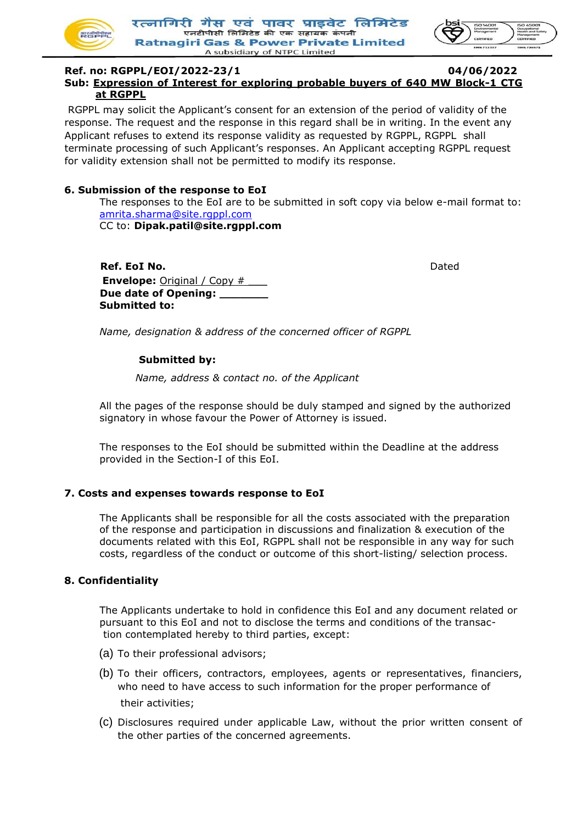



#### **Ref. no: RGPPL/EOI/2022-23/1 04/06/2022 Sub: Expression of Interest for exploring probable buyers of 640 MW Block-1 CTG at RGPPL**

RGPPL may solicit the Applicant's consent for an extension of the period of validity of the response. The request and the response in this regard shall be in writing. In the event any Applicant refuses to extend its response validity as requested by RGPPL, RGPPL shall terminate processing of such Applicant's responses. An Applicant accepting RGPPL request for validity extension shall not be permitted to modify its response.

#### **6. Submission of the response to EoI**

The responses to the EoI are to be submitted in soft copy via below e-mail format to: [amrita.sharma@site.rgppl.com](mailto:amrita.sharma@site.rgppl.com)

CC to: **Dipak.patil@site.rgppl.com**

**Ref. EoI No. Dated Envelope:** Original / Copy # **Due date of Opening: \_\_\_\_\_\_\_ Submitted to:** 

*Name, designation & address of the concerned officer of RGPPL* 

#### **Submitted by:**

*Name, address & contact no. of the Applicant* 

All the pages of the response should be duly stamped and signed by the authorized signatory in whose favour the Power of Attorney is issued.

The responses to the EoI should be submitted within the Deadline at the address provided in the Section-I of this EoI.

#### **7. Costs and expenses towards response to EoI**

The Applicants shall be responsible for all the costs associated with the preparation of the response and participation in discussions and finalization & execution of the documents related with this EoI, RGPPL shall not be responsible in any way for such costs, regardless of the conduct or outcome of this short-listing/ selection process.

#### **8. Confidentiality**

The Applicants undertake to hold in confidence this EoI and any document related or pursuant to this EoI and not to disclose the terms and conditions of the transaction contemplated hereby to third parties, except:

- (a) To their professional advisors;
- (b) To their officers, contractors, employees, agents or representatives, financiers, who need to have access to such information for the proper performance of their activities;
- (c) Disclosures required under applicable Law, without the prior written consent of the other parties of the concerned agreements.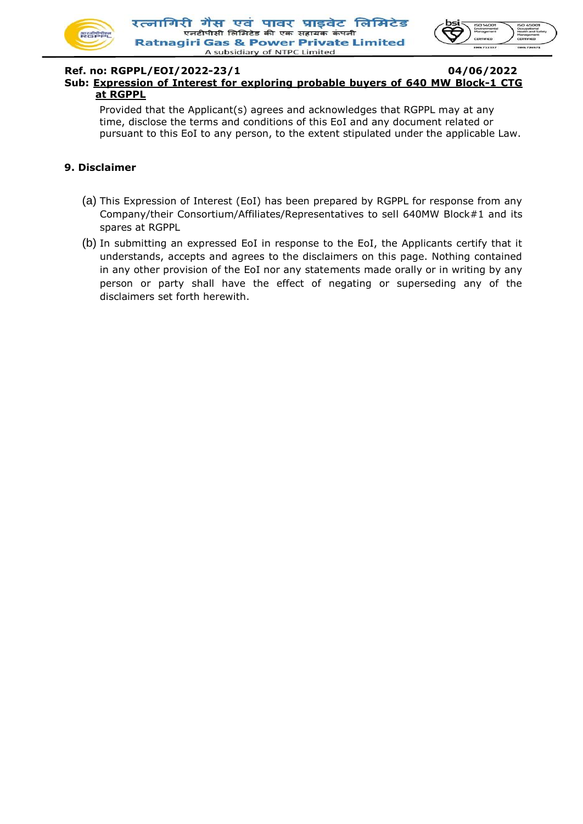



#### **Ref. no: RGPPL/EOI/2022-23/1 04/06/2022 Sub: Expression of Interest for exploring probable buyers of 640 MW Block-1 CTG at RGPPL**

Provided that the Applicant(s) agrees and acknowledges that RGPPL may at any time, disclose the terms and conditions of this EoI and any document related or pursuant to this EoI to any person, to the extent stipulated under the applicable Law.

#### **9. Disclaimer**

- (a) This Expression of Interest (EoI) has been prepared by RGPPL for response from any Company/their Consortium/Affiliates/Representatives to sell 640MW Block#1 and its spares at RGPPL
- (b) In submitting an expressed EoI in response to the EoI, the Applicants certify that it understands, accepts and agrees to the disclaimers on this page. Nothing contained in any other provision of the EoI nor any statements made orally or in writing by any person or party shall have the effect of negating or superseding any of the disclaimers set forth herewith.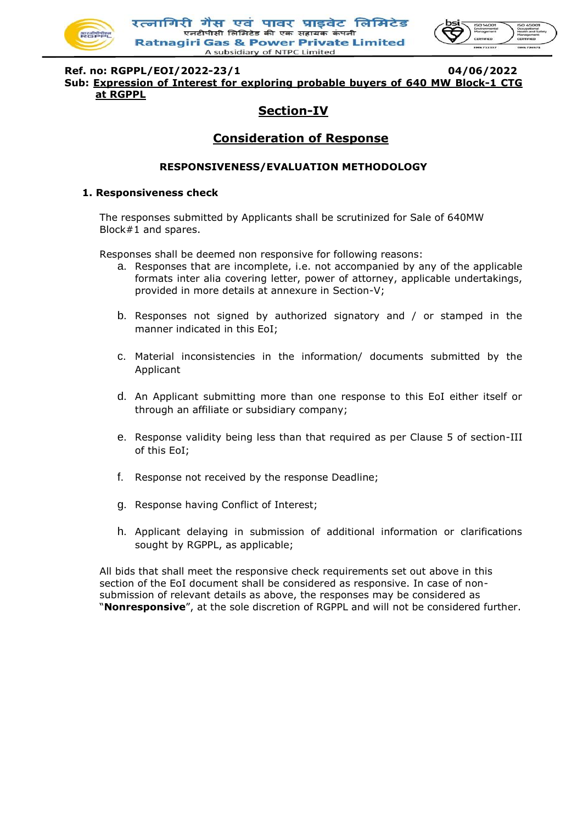

रत्नागिरी गैस एवं पावर प्राइवेट लिमिटेड .<br>एनटीपीसी लिमिटेड की एक सहायक कंपन **Ratnagiri Gas & Power Private Limited** A subsidiary of NTPC Limited



**Ref. no: RGPPL/EOI/2022-23/1 04/06/2022 Sub: Expression of Interest for exploring probable buyers of 640 MW Block-1 CTG at RGPPL**

## **Section-IV**

## **Consideration of Response**

#### **RESPONSIVENESS/EVALUATION METHODOLOGY**

#### **1. Responsiveness check**

The responses submitted by Applicants shall be scrutinized for Sale of 640MW Block#1 and spares.

Responses shall be deemed non responsive for following reasons:

- a. Responses that are incomplete, i.e. not accompanied by any of the applicable formats inter alia covering letter, power of attorney, applicable undertakings, provided in more details at annexure in Section-V;
- b. Responses not signed by authorized signatory and / or stamped in the manner indicated in this EoI;
- c. Material inconsistencies in the information/ documents submitted by the Applicant
- d. An Applicant submitting more than one response to this EoI either itself or through an affiliate or subsidiary company;
- e. Response validity being less than that required as per Clause 5 of section-III of this EoI;
- f. Response not received by the response Deadline;
- g. Response having Conflict of Interest;
- h. Applicant delaying in submission of additional information or clarifications sought by RGPPL, as applicable;

All bids that shall meet the responsive check requirements set out above in this section of the EoI document shall be considered as responsive. In case of nonsubmission of relevant details as above, the responses may be considered as "**Nonresponsive**", at the sole discretion of RGPPL and will not be considered further.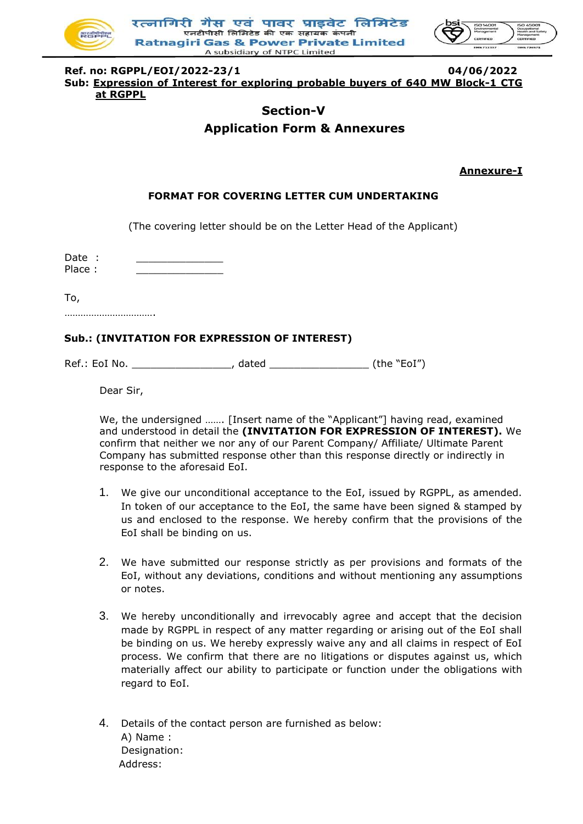

रत्नागिरी गैस एवं पावर प्राडवेट लिमिटेड .<br>एनटीपीसी लिमिटेड की एक सहायक कंप **Ratnagiri Gas & Power Private Limited** A subsidiary of NTPC Limited



**Ref. no: RGPPL/EOI/2022-23/1 04/06/2022 Sub: Expression of Interest for exploring probable buyers of 640 MW Block-1 CTG at RGPPL**

## **Section-V Application Form & Annexures**

**Annexure-I**

#### **FORMAT FOR COVERING LETTER CUM UNDERTAKING**

(The covering letter should be on the Letter Head of the Applicant)

Date : Place :

To,

…………………………………

#### **Sub.: (INVITATION FOR EXPRESSION OF INTEREST)**

Ref.: EoI No. \_\_\_\_\_\_\_\_\_\_\_\_\_\_\_\_\_\_\_\_, dated \_\_\_\_\_\_\_\_\_\_\_\_\_\_\_\_\_\_\_\_\_\_(the "EoI")

Dear Sir,

We, the undersigned ……. [Insert name of the "Applicant"] having read, examined and understood in detail the **(INVITATION FOR EXPRESSION OF INTEREST).** We confirm that neither we nor any of our Parent Company/ Affiliate/ Ultimate Parent Company has submitted response other than this response directly or indirectly in response to the aforesaid EoI.

- 1. We give our unconditional acceptance to the EoI, issued by RGPPL, as amended. In token of our acceptance to the EoI, the same have been signed & stamped by us and enclosed to the response. We hereby confirm that the provisions of the EoI shall be binding on us.
- 2. We have submitted our response strictly as per provisions and formats of the EoI, without any deviations, conditions and without mentioning any assumptions or notes.
- 3. We hereby unconditionally and irrevocably agree and accept that the decision made by RGPPL in respect of any matter regarding or arising out of the EoI shall be binding on us. We hereby expressly waive any and all claims in respect of EoI process. We confirm that there are no litigations or disputes against us, which materially affect our ability to participate or function under the obligations with regard to EoI.
- 4. Details of the contact person are furnished as below: A) Name : Designation: Address: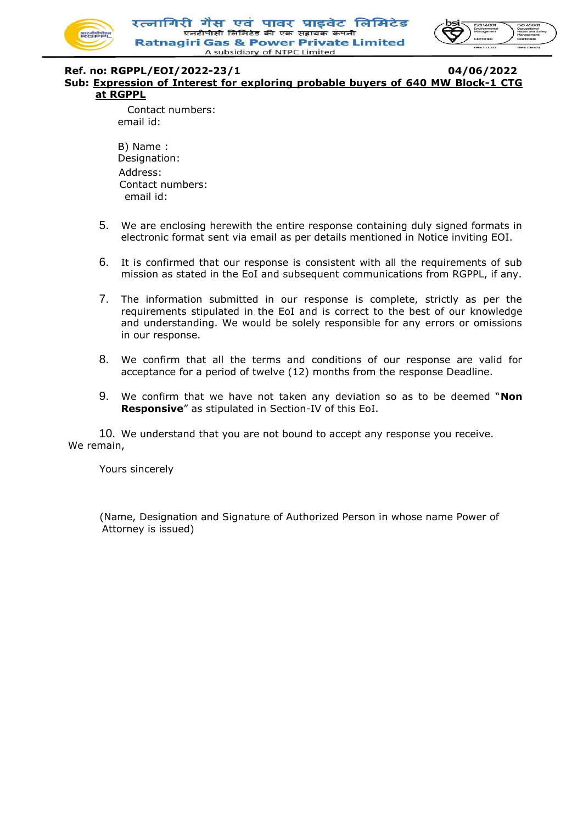

रत्नागिरी गैस एवं पावर प्राडवेट लिमिटेड .<br>एनटीपीसी लिमिटेड की एक सहायक कंपर **Ratnagiri Gas & Power Private Limited** A subsidiary of NTPC Limited



## **Ref. no: RGPPL/EOI/2022-23/1 04/06/2022**

**Sub: Expression of Interest for exploring probable buyers of 640 MW Block-1 CTG at RGPPL**

> Contact numbers: email id:

B) Name : Designation: Address: Contact numbers: email id:

- 5. We are enclosing herewith the entire response containing duly signed formats in electronic format sent via email as per details mentioned in Notice inviting EOI.
- 6. It is confirmed that our response is consistent with all the requirements of sub mission as stated in the EoI and subsequent communications from RGPPL, if any.
- 7. The information submitted in our response is complete, strictly as per the requirements stipulated in the EoI and is correct to the best of our knowledge and understanding. We would be solely responsible for any errors or omissions in our response.
- 8. We confirm that all the terms and conditions of our response are valid for acceptance for a period of twelve (12) months from the response Deadline.
- 9. We confirm that we have not taken any deviation so as to be deemed "**Non Responsive**" as stipulated in Section-IV of this EoI.

10. We understand that you are not bound to accept any response you receive. We remain,

Yours sincerely

(Name, Designation and Signature of Authorized Person in whose name Power of Attorney is issued)